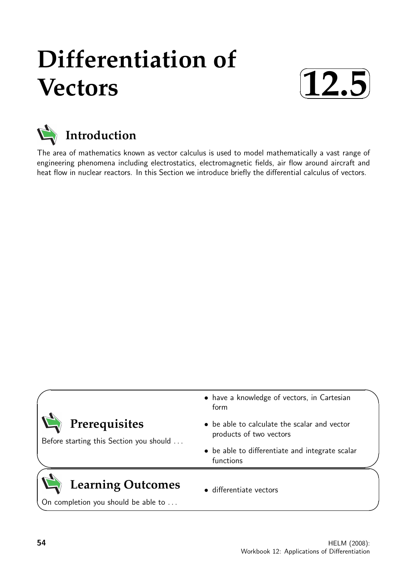# **Differentiation of Vectors**





The area of mathematics known as vector calculus is used to model mathematically a vast range of engineering phenomena including electrostatics, electromagnetic fields, air flow around aircraft and heat flow in nuclear reactors. In this Section we introduce briefly the differential calculus of vectors.

| <b>Learning Outcomes</b><br>On completion you should be able to | • differentiate vectors                                                 |  |
|-----------------------------------------------------------------|-------------------------------------------------------------------------|--|
|                                                                 | • be able to differentiate and integrate scalar<br>functions            |  |
| Prerequisites<br>Before starting this Section you should        | • be able to calculate the scalar and vector<br>products of two vectors |  |
|                                                                 | • have a knowledge of vectors, in Cartesian<br>form                     |  |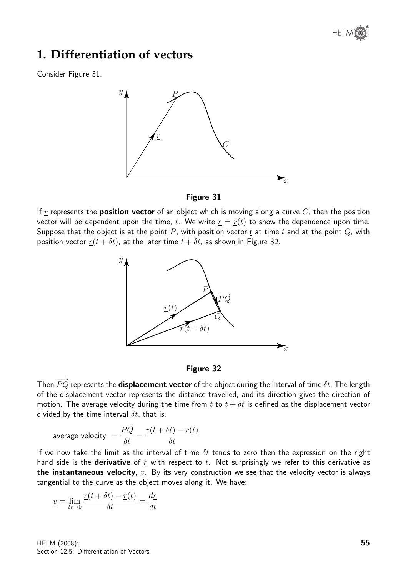

## **1. Differentiation of vectors**

Consider Figure 31.





If r represents the **position vector** of an object which is moving along a curve  $C$ , then the position vector will be dependent upon the time, t. We write  $r = r(t)$  to show the dependence upon time. Suppose that the object is at the point P, with position vector r at time t and at the point Q, with position vector  $r(t + \delta t)$ , at the later time  $t + \delta t$ , as shown in Figure 32.



#### Figure 32

Then  $\overrightarrow{PQ}$  represents the **displacement vector** of the object during the interval of time  $\delta t$ . The length of the displacement vector represents the distance travelled, and its direction gives the direction of motion. The average velocity during the time from t to  $t + \delta t$  is defined as the displacement vector divided by the time interval  $\delta t$ , that is,

average velocity 
$$
=
$$
  $\frac{\overrightarrow{PQ}}{\delta t} = \frac{r(t + \delta t) - r(t)}{\delta t}$ 

If we now take the limit as the interval of time  $\delta t$  tends to zero then the expression on the right hand side is the **derivative** of  $r$  with respect to  $t$ . Not surprisingly we refer to this derivative as the instantaneous velocity,  $v<sub>i</sub>$ . By its very construction we see that the velocity vector is always tangential to the curve as the object moves along it. We have:

$$
\underline{v} = \lim_{\delta t \to 0} \frac{\underline{r}(t + \delta t) - \underline{r}(t)}{\delta t} = \frac{d\underline{r}}{dt}
$$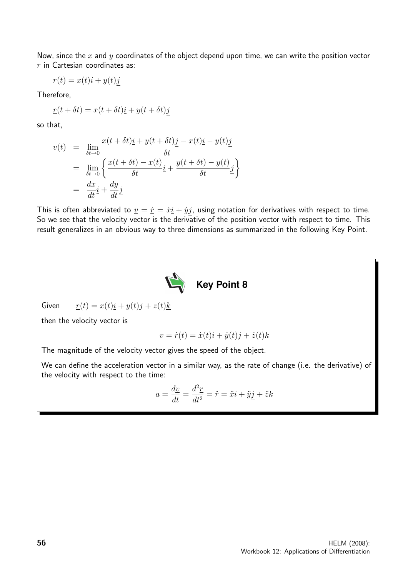Now, since the  $x$  and  $y$  coordinates of the object depend upon time, we can write the position vector  $r$  in Cartesian coordinates as:

$$
\underline{r}(t) = x(t)\underline{i} + y(t)\underline{j}
$$

Therefore,

$$
\underline{r}(t + \delta t) = x(t + \delta t)\underline{i} + y(t + \delta t)\underline{j}
$$

so that,

$$
\underline{v}(t) = \lim_{\delta t \to 0} \frac{x(t + \delta t)\underline{i} + y(t + \delta t)\underline{j} - x(t)\underline{i} - y(t)\underline{j}}{\delta t}
$$
\n
$$
= \lim_{\delta t \to 0} \left\{ \frac{x(t + \delta t) - x(t)}{\delta t} \underline{i} + \frac{y(t + \delta t) - y(t)}{\delta t} \underline{j} \right\}
$$
\n
$$
= \frac{dx}{dt}\underline{i} + \frac{dy}{dt}\underline{j}
$$

This is often abbreviated to  $\underline{v} = \dot{\underline{r}} = \dot{x}\underline{i} + \dot{y}\underline{j}$ , using notation for derivatives with respect to time. So we see that the velocity vector is the derivative of the position vector with respect to time. This result generalizes in an obvious way to three dimensions as summarized in the following Key Point.



Given  $\underline{r}(t) = x(t)\underline{i} + y(t)\underline{j} + z(t)\underline{k}$ 

then the velocity vector is

$$
\underline{v} = \dot{\underline{r}}(t) = \dot{x}(t)\underline{i} + \dot{y}(t)\underline{j} + \dot{z}(t)\underline{k}
$$

The magnitude of the velocity vector gives the speed of the object.

We can define the acceleration vector in a similar way, as the rate of change (i.e. the derivative) of the velocity with respect to the time:

$$
\underline{a} = \frac{d\underline{v}}{dt} = \frac{d^2\underline{r}}{dt^2} = \ddot{\underline{r}} = \ddot{x}\underline{i} + \ddot{y}\underline{j} + \ddot{z}\underline{k}
$$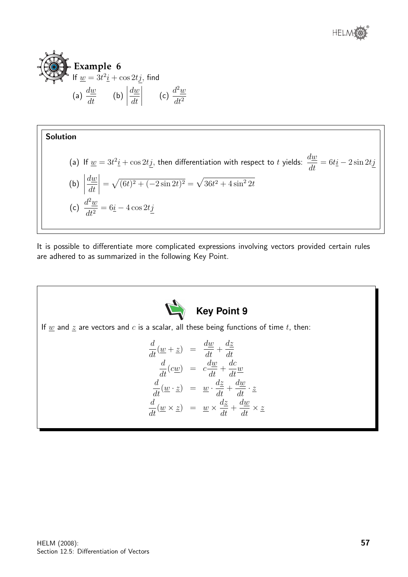



#### Solution

(a) If 
$$
\underline{w} = 3t^2 \underline{i} + \cos 2t \underline{j}
$$
, then differentiation with respect to *t* yields:  $\frac{d\underline{w}}{dt} = 6t \underline{i} - 2 \sin 2t \underline{j}$   
\n(b)  $\left| \frac{d\underline{w}}{dt} \right| = \sqrt{(6t)^2 + (-2 \sin 2t)^2} = \sqrt{36t^2 + 4 \sin^2 2t}$   
\n(c)  $\frac{d^2\underline{w}}{dt^2} = 6\underline{i} - 4 \cos 2t \underline{j}$ 

It is possible to differentiate more complicated expressions involving vectors provided certain rules are adhered to as summarized in the following Key Point.

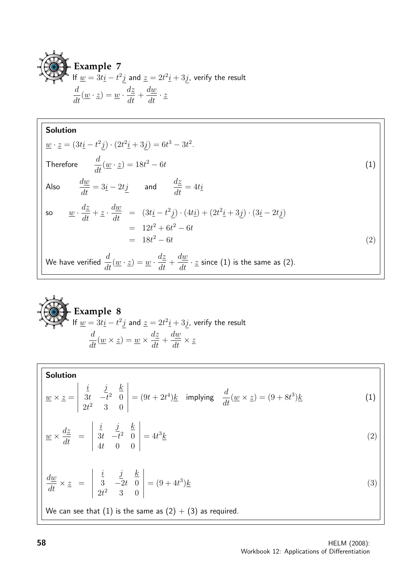**Example 7**  
If 
$$
\underline{w} = 3t\underline{i} - t^2\underline{j}
$$
 and  $\underline{z} = 2t^2\underline{i} + 3\underline{j}$ , verify the result  

$$
\frac{d}{dt}(\underline{w} \cdot \underline{z}) = \underline{w} \cdot \frac{d\underline{z}}{dt} + \frac{d\underline{w}}{dt} \cdot \underline{z}
$$

**Solution**  
\n
$$
\underline{w} \cdot \underline{z} = (3t\underline{i} - t^2\underline{j}) \cdot (2t^2\underline{i} + 3\underline{j}) = 6t^3 - 3t^2.
$$
\nTherefore\n
$$
\frac{d}{dt}(\underline{w} \cdot \underline{z}) = 18t^2 - 6t
$$
\nAlso\n
$$
\frac{d\underline{w}}{dt} = 3\underline{i} - 2t\underline{j} \quad \text{and} \quad \frac{d\underline{z}}{dt} = 4t\underline{i}
$$
\nso\n
$$
\underline{w} \cdot \frac{d\underline{z}}{dt} + \underline{z} \cdot \frac{d\underline{w}}{dt} = (3t\underline{i} - t^2\underline{j}) \cdot (4t\underline{i}) + (2t^2\underline{i} + 3\underline{j}) \cdot (3\underline{i} - 2t\underline{j})
$$
\n
$$
= 12t^2 + 6t^2 - 6t
$$
\n
$$
= 18t^2 - 6t
$$
\nWe have verified\n
$$
\frac{d}{dt}(\underline{w} \cdot \underline{z}) = \underline{w} \cdot \frac{d\underline{z}}{dt} + \frac{d\underline{w}}{dt} \cdot \underline{z} \text{ since (1) is the same as (2)}.
$$
\n(2)

**Example 8**  
If 
$$
\underline{w} = 3t\underline{i} - t^2\underline{j}
$$
 and  $\underline{z} = 2t^2\underline{i} + 3\underline{j}$ , verify the result  

$$
\frac{d}{dt}(\underline{w} \times \underline{z}) = \underline{w} \times \frac{d\underline{z}}{dt} + \frac{d\underline{w}}{dt} \times \underline{z}
$$

**Solution**  
\n
$$
\underline{w} \times \underline{z} = \begin{vmatrix} \frac{i}{3t} & \frac{j}{-t^2} & \frac{k}{0} \\ 2t^2 & 3 & 0 \end{vmatrix} = (9t + 2t^4)\underline{k} \text{ implying } \frac{d}{dt}(\underline{w} \times \underline{z}) = (9 + 8t^3)\underline{k}
$$
\n
$$
\underline{w} \times \frac{d\underline{z}}{dt} = \begin{vmatrix} \frac{i}{3t} & \frac{j}{-t^2} & \frac{k}{0} \\ \frac{4t}{4t} & 0 & 0 \end{vmatrix} = 4t^3\underline{k}
$$
\n
$$
\frac{d\underline{w}}{dt} \times \underline{z} = \begin{vmatrix} \frac{i}{3} & \frac{j}{-2t} & \frac{k}{0} \\ \frac{j}{2t^2} & 3 & 0 \end{vmatrix} = (9 + 4t^3)\underline{k}
$$
\n
$$
\text{(3)}
$$
\nWe can see that (1) is the same as (2) + (3) as required.